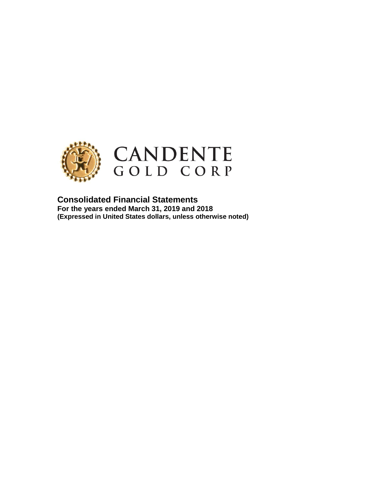

**Consolidated Financial Statements For the years ended March 31, 2019 and 2018 (Expressed in United States dollars, unless otherwise noted)**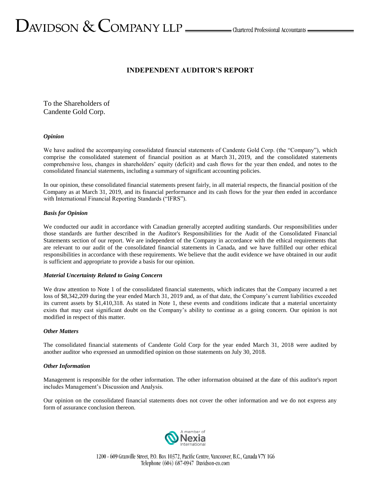# $\sum$ AVIDSON  $\&$   $\sum$ OMPANY LLP  $\frac{1}{\sum_{\text{undered Professional Accountants}}$

## **INDEPENDENT AUDITOR'S REPORT**

To the Shareholders of Candente Gold Corp.

#### *Opinion*

We have audited the accompanying consolidated financial statements of Candente Gold Corp. (the "Company"), which comprise the consolidated statement of financial position as at March 31, 2019, and the consolidated statements comprehensive loss, changes in shareholders' equity (deficit) and cash flows for the year then ended, and notes to the consolidated financial statements, including a summary of significant accounting policies.

In our opinion, these consolidated financial statements present fairly, in all material respects, the financial position of the Company as at March 31, 2019, and its financial performance and its cash flows for the year then ended in accordance with International Financial Reporting Standards ("IFRS").

#### *Basis for Opinion*

We conducted our audit in accordance with Canadian generally accepted auditing standards. Our responsibilities under those standards are further described in the Auditor's Responsibilities for the Audit of the Consolidated Financial Statements section of our report. We are independent of the Company in accordance with the ethical requirements that are relevant to our audit of the consolidated financial statements in Canada, and we have fulfilled our other ethical responsibilities in accordance with these requirements. We believe that the audit evidence we have obtained in our audit is sufficient and appropriate to provide a basis for our opinion.

#### *Material Uncertainty Related to Going Concern*

We draw attention to Note 1 of the consolidated financial statements, which indicates that the Company incurred a net loss of \$8,342,209 during the year ended March 31, 2019 and, as of that date, the Company's current liabilities exceeded its current assets by \$1,410,318. As stated in Note 1, these events and conditions indicate that a material uncertainty exists that may cast significant doubt on the Company's ability to continue as a going concern. Our opinion is not modified in respect of this matter.

#### *Other Matters*

The consolidated financial statements of Candente Gold Corp for the year ended March 31, 2018 were audited by another auditor who expressed an unmodified opinion on those statements on July 30, 2018.

#### *Other Information*

Management is responsible for the other information. The other information obtained at the date of this auditor's report includes Management's Discussion and Analysis.

Our opinion on the consolidated financial statements does not cover the other information and we do not express any form of assurance conclusion thereon.

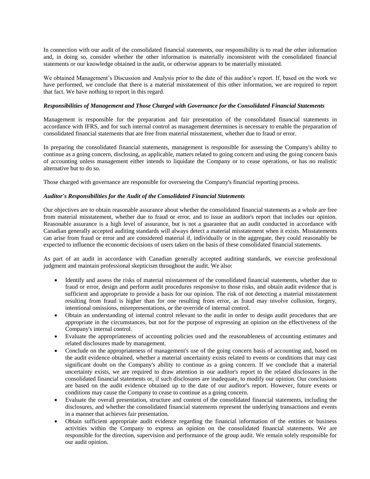In connection with our audit of the consolidated financial statements, our responsibility is to read the other information and, in doing so, consider whether the other information is materially inconsistent with the consolidated financial statements or our knowledge obtained in the audit, or otherwise appears to be materially misstated.

We obtained Management's Discussion and Analysis prior to the date of this auditor's report. If, based on the work we have performed, we conclude that there is a material misstatement of this other information, we are required to report that fact. We have nothing to report in this regard.

#### *Responsibilities of Management and Those Charged with Governance for the Consolidated Financial Statements*

Management is responsible for the preparation and fair presentation of the consolidated financial statements in accordance with IFRS, and for such internal control as management determines is necessary to enable the preparation of consolidated financial statements that are free from material misstatement, whether due to fraud or error.

In preparing the consolidated financial statements, management is responsible for assessing the Company's ability to continue as a going concern, disclosing, as applicable, matters related to going concern and using the going concern basis of accounting unless management either intends to liquidate the Company or to cease operations, or has no realistic alternative but to do so.

Those charged with governance are responsible for overseeing the Company's financial reporting process.

#### *Auditor's Responsibilities for the Audit of the Consolidated Financial Statements*

Our objectives are to obtain reasonable assurance about whether the consolidated financial statements as a whole are free from material misstatement, whether due to fraud or error, and to issue an auditor's report that includes our opinion. Reasonable assurance is a high level of assurance, but is not a guarantee that an audit conducted in accordance with Canadian generally accepted auditing standards will always detect a material misstatement when it exists. Misstatements can arise from fraud or error and are considered material if, individually or in the aggregate, they could reasonably be expected to influence the economic decisions of users taken on the basis of these consolidated financial statements.

As part of an audit in accordance with Canadian generally accepted auditing standards, we exercise professional judgment and maintain professional skepticism throughout the audit. We also:

- Identify and assess the risks of material misstatement of the consolidated financial statements, whether due to fraud or error, design and perform audit procedures responsive to those risks, and obtain audit evidence that is sufficient and appropriate to provide a basis for our opinion. The risk of not detecting a material misstatement resulting from fraud is higher than for one resulting from error, as fraud may involve collusion, forgery, intentional omissions, misrepresentations, or the override of internal control.
- Obtain an understanding of internal control relevant to the audit in order to design audit procedures that are appropriate in the circumstances, but not for the purpose of expressing an opinion on the effectiveness of the Company's internal control.
- Evaluate the appropriateness of accounting policies used and the reasonableness of accounting estimates and related disclosures made by management.
- Conclude on the appropriateness of management's use of the going concern basis of accounting and, based on the audit evidence obtained, whether a material uncertainty exists related to events or conditions that may cast significant doubt on the Company's ability to continue as a going concern. If we conclude that a material uncertainty exists, we are required to draw attention in our auditor's report to the related disclosures in the consolidated financial statements or, if such disclosures are inadequate, to modify our opinion. Our conclusions are based on the audit evidence obtained up to the date of our auditor's report. However, future events or conditions may cause the Company to cease to continue as a going concern.
- Evaluate the overall presentation, structure and content of the consolidated financial statements, including the disclosures, and whether the consolidated financial statements represent the underlying transactions and events in a manner that achieves fair presentation.
- Obtain sufficient appropriate audit evidence regarding the financial information of the entities or business activities within the Company to express an opinion on the consolidated financial statements. We are responsible for the direction, supervision and performance of the group audit. We remain solely responsible for our audit opinion.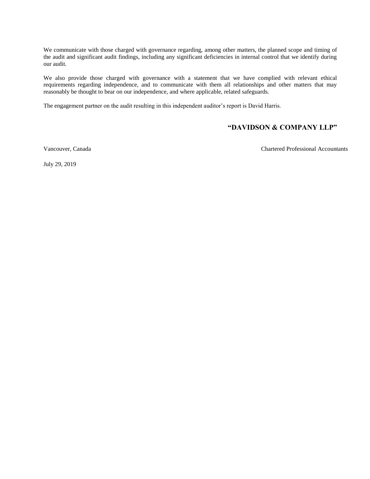We communicate with those charged with governance regarding, among other matters, the planned scope and timing of the audit and significant audit findings, including any significant deficiencies in internal control that we identify during our audit.

We also provide those charged with governance with a statement that we have complied with relevant ethical requirements regarding independence, and to communicate with them all relationships and other matters that may reasonably be thought to bear on our independence, and where applicable, related safeguards.

The engagement partner on the audit resulting in this independent auditor's report is David Harris.

## **"DAVIDSON & COMPANY LLP"**

Vancouver, Canada Chartered Professional Accountants

July 29, 2019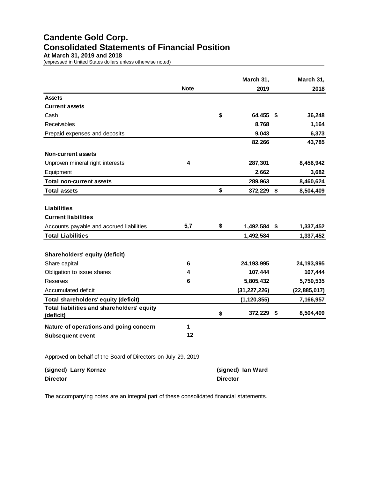# **Candente Gold Corp. Consolidated Statements of Financial Position At March 31, 2019 and 2018**

(expressed in United States dollars unless otherwise noted)

|                                                         |             | March 31,          | March 31,       |
|---------------------------------------------------------|-------------|--------------------|-----------------|
|                                                         | <b>Note</b> | 2019               | 2018            |
| <b>Assets</b>                                           |             |                    |                 |
| <b>Current assets</b>                                   |             |                    |                 |
| Cash                                                    |             | \$<br>64,455 \$    | 36,248          |
| Receivables                                             |             | 8,768              | 1,164           |
| Prepaid expenses and deposits                           |             | 9,043              | 6,373           |
|                                                         |             | 82,266             | 43,785          |
| Non-current assets                                      |             |                    |                 |
| Unproven mineral right interests                        | 4           | 287,301            | 8,456,942       |
| Equipment                                               |             | 2,662              | 3,682           |
| <b>Total non-current assets</b>                         |             | 289,963            | 8,460,624       |
| <b>Total assets</b>                                     |             | \$<br>372,229      | \$<br>8,504,409 |
|                                                         |             |                    |                 |
| Liabilities                                             |             |                    |                 |
| <b>Current liabilities</b>                              |             |                    |                 |
| Accounts payable and accrued liabilities                | 5,7         | \$<br>1,492,584 \$ | 1,337,452       |
| <b>Total Liabilities</b>                                |             | 1,492,584          | 1,337,452       |
|                                                         |             |                    |                 |
| <b>Shareholders' equity (deficit)</b>                   |             |                    |                 |
| Share capital                                           | 6           | 24, 193, 995       | 24, 193, 995    |
| Obligation to issue shares                              | 4           | 107,444            | 107,444         |
| Reserves                                                | 6           | 5,805,432          | 5,750,535       |
| Accumulated deficit                                     |             | (31, 227, 226)     | (22, 885, 017)  |
| Total shareholders' equity (deficit)                    |             | (1, 120, 355)      | 7,166,957       |
| Total liabilities and shareholders' equity<br>(deficit) |             | \$<br>372,229      | \$<br>8,504,409 |
| Nature of operations and going concern                  | 1           |                    |                 |
| Subsequent event                                        | 12          |                    |                 |
|                                                         |             |                    |                 |

Approved on behalf of the Board of Directors on July 29, 2019

| (signed) Larry Kornze | (signed) Ian Ward |
|-----------------------|-------------------|
| <b>Director</b>       | <b>Director</b>   |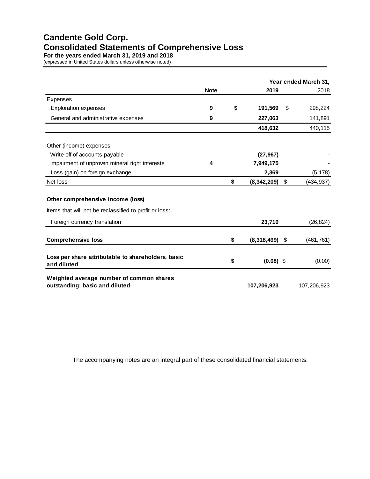# **Candente Gold Corp. Consolidated Statements of Comprehensive Loss**

**For the years ended March 31, 2019 and 2018**

(expressed in United States dollars unless otherwise noted)

|                                                                            |             |                     |     | Year ended March 31, |
|----------------------------------------------------------------------------|-------------|---------------------|-----|----------------------|
|                                                                            | <b>Note</b> | 2019                |     | 2018                 |
| <b>Expenses</b>                                                            |             |                     |     |                      |
| <b>Exploration expenses</b>                                                | 9           | \$<br>191,569       | \$. | 298,224              |
| General and administrative expenses                                        | 9           | 227,063             |     | 141,891              |
|                                                                            |             | 418,632             |     | 440,115              |
| Other (income) expenses                                                    |             |                     |     |                      |
| Write-off of accounts payable                                              |             | (27, 967)           |     |                      |
| Impairment of unproven mineral right interests                             | 4           | 7,949,175           |     |                      |
| Loss (gain) on foreign exchange                                            |             | 2,369               |     | (5, 178)             |
| Net loss                                                                   |             | \$<br>(8, 342, 209) | \$  | (434, 937)           |
| Other comprehensive income (loss)                                          |             |                     |     |                      |
| Items that will not be reclassified to profit or loss:                     |             |                     |     |                      |
| Foreign currency translation                                               |             | 23,710              |     | (26, 824)            |
| <b>Comprehensive loss</b>                                                  |             | \$<br>(8,318,499)   | \$  | (461, 761)           |
| Loss per share attributable to shareholders, basic<br>and diluted          |             | \$<br>$(0.08)$ \$   |     | (0.00)               |
| Weighted average number of common shares<br>outstanding: basic and diluted |             | 107,206,923         |     | 107,206,923          |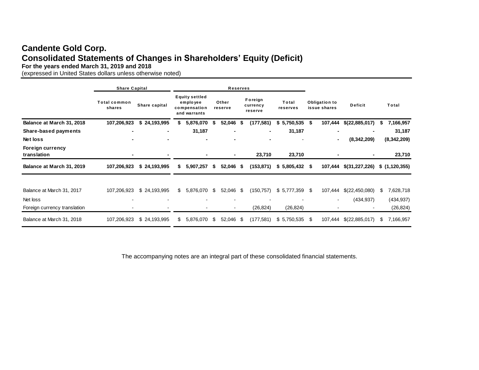# **Candente Gold Corp. Consolidated Statements of Changes in Shareholders' Equity (Deficit)**

| For the years ended March 31, 2019 and 2018<br>(expressed in United States dollars unless otherwise noted) |                               |               |    |                                                                   |    |                  |      | 9, <i>1</i>                    |   |                          |                               |         |                              |   |                                      |  |
|------------------------------------------------------------------------------------------------------------|-------------------------------|---------------|----|-------------------------------------------------------------------|----|------------------|------|--------------------------------|---|--------------------------|-------------------------------|---------|------------------------------|---|--------------------------------------|--|
|                                                                                                            | <b>Share Capital</b>          |               |    |                                                                   |    | <b>Reserves</b>  |      |                                |   |                          |                               |         |                              |   |                                      |  |
|                                                                                                            | <b>Total common</b><br>shares | Share capital |    | <b>Equity settled</b><br>employee<br>compensation<br>and warrants |    | Other<br>reserve |      | Foreign<br>currency<br>reserve |   | Total<br>reserves        | Obligation to<br>issue shares |         | <b>Deficit</b>               |   | Total                                |  |
| Balance at March 31, 2018                                                                                  | 107,206,923                   | \$24,193,995  | S. | 5,876,070                                                         | S  | 52,046           | S.   | (177, 581)                     |   | \$5,750,535              | \$                            | 107,444 | \$(22,885,017)               | S | 7,166,957                            |  |
| Share-based payments                                                                                       | ۰                             | ۰             |    | 31,187                                                            |    |                  |      |                                |   | 31,187                   |                               |         |                              |   | 31,187                               |  |
| Net loss                                                                                                   |                               |               |    |                                                                   |    |                  |      |                                |   |                          |                               |         | (8,342,209)                  |   | (8,342,209)                          |  |
| <b>Foreign currency</b><br>translation                                                                     |                               |               |    |                                                                   |    |                  |      | 23,710                         |   | 23,710                   |                               |         |                              |   | 23,710                               |  |
| Balance at March 31, 2019                                                                                  | 107,206,923                   | \$24,193,995  | \$ | 5,907,257                                                         | \$ | 52,046           | - 56 | (153, 871)                     | S | 5,805,432                | - \$                          | 107,444 | \$(31,227,226)               |   | \$(1,120,355)                        |  |
| Balance at March 31, 2017<br>Net loss<br>Foreign currency translation                                      | 107,206,923                   | \$24,193,995  | \$ | 5,876,070                                                         | \$ | 52,046           | -\$  | (150, 757)<br>(26, 824)        |   | \$5,777,359<br>(26, 824) | S                             | 107,444 | \$(22,450,080)<br>(434, 937) | S | 7,628,718<br>(434, 937)<br>(26, 824) |  |
| Balance at March 31, 2018                                                                                  | 107,206,923                   | \$24,193,995  | \$ | 5,876,070                                                         | \$ | 52,046           | \$   | (177, 581)                     |   | \$5,750,535              | \$                            | 107,444 | \$(22,885,017)               | S | 7,166,957                            |  |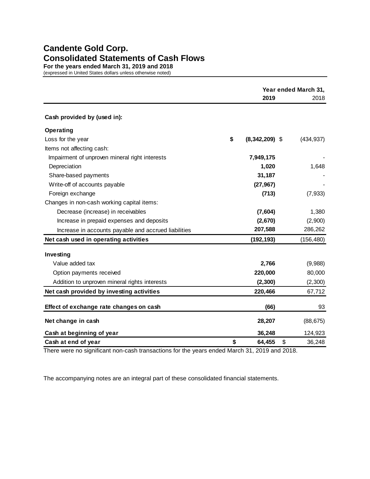# **Candente Gold Corp. Consolidated Statements of Cash Flows**

**For the years ended March 31, 2019 and 2018** (expressed in United States dollars unless otherwise noted)

|                                                      | Year ended March 31,   |    |            |  |  |
|------------------------------------------------------|------------------------|----|------------|--|--|
|                                                      | 2019                   |    | 2018       |  |  |
| Cash provided by (used in):                          |                        |    |            |  |  |
| <b>Operating</b>                                     |                        |    |            |  |  |
| Loss for the year                                    | \$<br>$(8,342,209)$ \$ |    | (434, 937) |  |  |
| Items not affecting cash:                            |                        |    |            |  |  |
| Impairment of unproven mineral right interests       | 7,949,175              |    |            |  |  |
| Depreciation                                         | 1,020                  |    | 1,648      |  |  |
| Share-based payments                                 | 31,187                 |    |            |  |  |
| Write-off of accounts payable                        | (27, 967)              |    |            |  |  |
| Foreign exchange                                     | (713)                  |    | (7, 933)   |  |  |
| Changes in non-cash working capital items:           |                        |    |            |  |  |
| Decrease (increase) in receivables                   | (7,604)                |    | 1,380      |  |  |
| Increase in prepaid expenses and deposits            | (2,670)                |    | (2,900)    |  |  |
| Increase in accounts payable and accrued liabilities | 207,588                |    | 286,262    |  |  |
| Net cash used in operating activities                | (192, 193)             |    | (156, 480) |  |  |
| Investing                                            |                        |    |            |  |  |
| Value added tax                                      | 2,766                  |    | (9,988)    |  |  |
| Option payments received                             | 220,000                |    | 80,000     |  |  |
| Addition to unproven mineral rights interests        | (2, 300)               |    | (2,300)    |  |  |
| Net cash provided by investing activities            | 220,466                |    | 67,712     |  |  |
| Effect of exchange rate changes on cash              | (66)                   |    | 93         |  |  |
| Net change in cash                                   | 28,207                 |    | (88, 675)  |  |  |
| Cash at beginning of year                            | 36,248                 |    | 124,923    |  |  |
| Cash at end of year                                  | \$<br>64,455           | \$ | 36,248     |  |  |

There were no significant non-cash transactions for the years ended March 31, 2019 and 2018.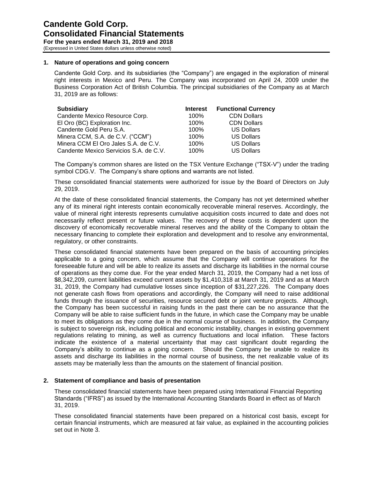#### **1. Nature of operations and going concern**

Candente Gold Corp. and its subsidiaries (the "Company") are engaged in the exploration of mineral right interests in Mexico and Peru. The Company was incorporated on April 24, 2009 under the Business Corporation Act of British Columbia. The principal subsidiaries of the Company as at March 31, 2019 are as follows:

| <b>Subsidiary</b>                      | <b>Interest</b> | <b>Functional Currency</b> |
|----------------------------------------|-----------------|----------------------------|
| Candente Mexico Resource Corp.         | 100%            | <b>CDN Dollars</b>         |
| El Oro (BC) Exploration Inc.           | 100%            | <b>CDN Dollars</b>         |
| Candente Gold Peru S.A.                | 100%            | <b>US Dollars</b>          |
| Minera CCM, S.A. de C.V. ("CCM")       | 100%            | <b>US Dollars</b>          |
| Minera CCM El Oro Jales S.A. de C.V.   | 100%            | <b>US Dollars</b>          |
| Candente Mexico Servicios S.A. de C.V. | 100%            | <b>US Dollars</b>          |

The Company's common shares are listed on the TSX Venture Exchange ("TSX-V") under the trading symbol CDG.V. The Company's share options and warrants are not listed.

These consolidated financial statements were authorized for issue by the Board of Directors on July 29, 2019.

At the date of these consolidated financial statements, the Company has not yet determined whether any of its mineral right interests contain economically recoverable mineral reserves. Accordingly, the value of mineral right interests represents cumulative acquisition costs incurred to date and does not necessarily reflect present or future values. The recovery of these costs is dependent upon the discovery of economically recoverable mineral reserves and the ability of the Company to obtain the necessary financing to complete their exploration and development and to resolve any environmental, regulatory, or other constraints.

These consolidated financial statements have been prepared on the basis of accounting principles applicable to a going concern, which assume that the Company will continue operations for the foreseeable future and will be able to realize its assets and discharge its liabilities in the normal course of operations as they come due. For the year ended March 31, 2019, the Company had a net loss of \$8,342,209, current liabilities exceed current assets by \$1,410,318 at March 31, 2019 and as at March 31, 2019, the Company had cumulative losses since inception of \$31,227,226. The Company does not generate cash flows from operations and accordingly, the Company will need to raise additional funds through the issuance of securities, resource secured debt or joint venture projects. Although, the Company has been successful in raising funds in the past there can be no assurance that the Company will be able to raise sufficient funds in the future, in which case the Company may be unable to meet its obligations as they come due in the normal course of business. In addition, the Company is subject to sovereign risk, including political and economic instability, changes in existing government regulations relating to mining, as well as currency fluctuations and local inflation. These factors indicate the existence of a material uncertainty that may cast significant doubt regarding the Company's ability to continue as a going concern. Should the Company be unable to realize its assets and discharge its liabilities in the normal course of business, the net realizable value of its assets may be materially less than the amounts on the statement of financial position.

#### **2. Statement of compliance and basis of presentation**

These consolidated financial statements have been prepared using International Financial Reporting Standards ("IFRS") as issued by the International Accounting Standards Board in effect as of March 31, 2019.

These consolidated financial statements have been prepared on a historical cost basis, except for certain financial instruments, which are measured at fair value, as explained in the accounting policies set out in Note 3.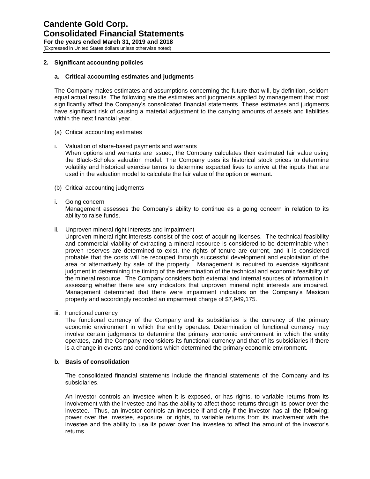#### **2. Significant accounting policies**

#### **a. Critical accounting estimates and judgments**

The Company makes estimates and assumptions concerning the future that will, by definition, seldom equal actual results. The following are the estimates and judgments applied by management that most significantly affect the Company's consolidated financial statements. These estimates and judgments have significant risk of causing a material adjustment to the carrying amounts of assets and liabilities within the next financial year.

- (a) Critical accounting estimates
- i. Valuation of share-based payments and warrants When options and warrants are issued, the Company calculates their estimated fair value using the Black-Scholes valuation model. The Company uses its historical stock prices to determine volatility and historical exercise terms to determine expected lives to arrive at the inputs that are used in the valuation model to calculate the fair value of the option or warrant.
- (b) Critical accounting judgments
- i. Going concern

Management assesses the Company's ability to continue as a going concern in relation to its ability to raise funds.

ii. Unproven mineral right interests and impairment

Unproven mineral right interests consist of the cost of acquiring licenses. The technical feasibility and commercial viability of extracting a mineral resource is considered to be determinable when proven reserves are determined to exist, the rights of tenure are current, and it is considered probable that the costs will be recouped through successful development and exploitation of the area or alternatively by sale of the property. Management is required to exercise significant judgment in determining the timing of the determination of the technical and economic feasibility of the mineral resource. The Company considers both external and internal sources of information in assessing whether there are any indicators that unproven mineral right interests are impaired. Management determined that there were impairment indicators on the Company's Mexican property and accordingly recorded an impairment charge of \$7,949,175.

iii. Functional currency

The functional currency of the Company and its subsidiaries is the currency of the primary economic environment in which the entity operates. Determination of functional currency may involve certain judgments to determine the primary economic environment in which the entity operates, and the Company reconsiders its functional currency and that of its subsidiaries if there is a change in events and conditions which determined the primary economic environment.

#### **b. Basis of consolidation**

The consolidated financial statements include the financial statements of the Company and its subsidiaries.

An investor controls an investee when it is exposed, or has rights, to variable returns from its involvement with the investee and has the ability to affect those returns through its power over the investee. Thus, an investor controls an investee if and only if the investor has all the following: power over the investee, exposure, or rights, to variable returns from its involvement with the investee and the ability to use its power over the investee to affect the amount of the investor's returns.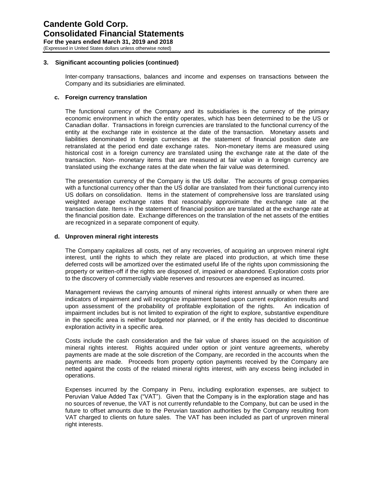#### **3. Significant accounting policies (continued)**

Inter-company transactions, balances and income and expenses on transactions between the Company and its subsidiaries are eliminated.

#### **c. Foreign currency translation**

The functional currency of the Company and its subsidiaries is the currency of the primary economic environment in which the entity operates, which has been determined to be the US or Canadian dollar. Transactions in foreign currencies are translated to the functional currency of the entity at the exchange rate in existence at the date of the transaction. Monetary assets and liabilities denominated in foreign currencies at the statement of financial position date are retranslated at the period end date exchange rates. Non-monetary items are measured using historical cost in a foreign currency are translated using the exchange rate at the date of the transaction. Non- monetary items that are measured at fair value in a foreign currency are translated using the exchange rates at the date when the fair value was determined.

The presentation currency of the Company is the US dollar. The accounts of group companies with a functional currency other than the US dollar are translated from their functional currency into US dollars on consolidation. Items in the statement of comprehensive loss are translated using weighted average exchange rates that reasonably approximate the exchange rate at the transaction date. Items in the statement of financial position are translated at the exchange rate at the financial position date. Exchange differences on the translation of the net assets of the entities are recognized in a separate component of equity.

#### **d. Unproven mineral right interests**

The Company capitalizes all costs, net of any recoveries, of acquiring an unproven mineral right interest, until the rights to which they relate are placed into production, at which time these deferred costs will be amortized over the estimated useful life of the rights upon commissioning the property or written-off if the rights are disposed of, impaired or abandoned. Exploration costs prior to the discovery of commercially viable reserves and resources are expensed as incurred.

Management reviews the carrying amounts of mineral rights interest annually or when there are indicators of impairment and will recognize impairment based upon current exploration results and upon assessment of the probability of profitable exploitation of the rights. An indication of impairment includes but is not limited to expiration of the right to explore, substantive expenditure in the specific area is neither budgeted nor planned, or if the entity has decided to discontinue exploration activity in a specific area.

Costs include the cash consideration and the fair value of shares issued on the acquisition of mineral rights interest. Rights acquired under option or joint venture agreements, whereby payments are made at the sole discretion of the Company, are recorded in the accounts when the payments are made. Proceeds from property option payments received by the Company are netted against the costs of the related mineral rights interest, with any excess being included in operations.

Expenses incurred by the Company in Peru, including exploration expenses, are subject to Peruvian Value Added Tax ("VAT"). Given that the Company is in the exploration stage and has no sources of revenue, the VAT is not currently refundable to the Company, but can be used in the future to offset amounts due to the Peruvian taxation authorities by the Company resulting from VAT charged to clients on future sales. The VAT has been included as part of unproven mineral right interests.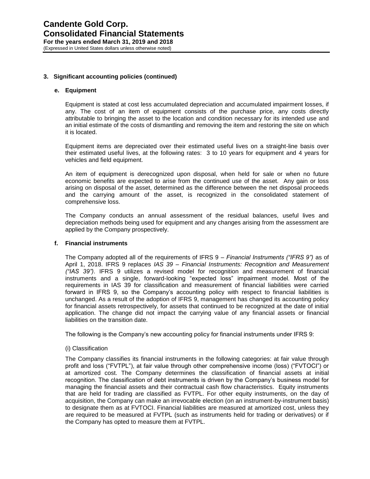#### **3. Significant accounting policies (continued)**

#### **e. Equipment**

Equipment is stated at cost less accumulated depreciation and accumulated impairment losses, if any. The cost of an item of equipment consists of the purchase price, any costs directly attributable to bringing the asset to the location and condition necessary for its intended use and an initial estimate of the costs of dismantling and removing the item and restoring the site on which it is located.

Equipment items are depreciated over their estimated useful lives on a straight-line basis over their estimated useful lives, at the following rates: 3 to 10 years for equipment and 4 years for vehicles and field equipment.

An item of equipment is derecognized upon disposal, when held for sale or when no future economic benefits are expected to arise from the continued use of the asset. Any gain or loss arising on disposal of the asset, determined as the difference between the net disposal proceeds and the carrying amount of the asset, is recognized in the consolidated statement of comprehensive loss.

The Company conducts an annual assessment of the residual balances, useful lives and depreciation methods being used for equipment and any changes arising from the assessment are applied by the Company prospectively.

#### **f. Financial instruments**

The Company adopted all of the requirements of IFRS 9 – *Financial Instruments ("IFRS 9")* as of April 1, 2018. IFRS 9 replaces *IAS 39 – Financial Instruments: Recognition and Measurement ("IAS 39")*. IFRS 9 utilizes a revised model for recognition and measurement of financial instruments and a single, forward-looking "expected loss" impairment model. Most of the requirements in IAS 39 for classification and measurement of financial liabilities were carried forward in IFRS 9, so the Company's accounting policy with respect to financial liabilities is unchanged. As a result of the adoption of IFRS 9, management has changed its accounting policy for financial assets retrospectively, for assets that continued to be recognized at the date of initial application. The change did not impact the carrying value of any financial assets or financial liabilities on the transition date.

The following is the Company's new accounting policy for financial instruments under IFRS 9:

#### (i) Classification

The Company classifies its financial instruments in the following categories: at fair value through profit and loss ("FVTPL"), at fair value through other comprehensive income (loss) ("FVTOCI") or at amortized cost. The Company determines the classification of financial assets at initial recognition. The classification of debt instruments is driven by the Company's business model for managing the financial assets and their contractual cash flow characteristics. Equity instruments that are held for trading are classified as FVTPL. For other equity instruments, on the day of acquisition, the Company can make an irrevocable election (on an instrument-by-instrument basis) to designate them as at FVTOCI. Financial liabilities are measured at amortized cost, unless they are required to be measured at FVTPL (such as instruments held for trading or derivatives) or if the Company has opted to measure them at FVTPL.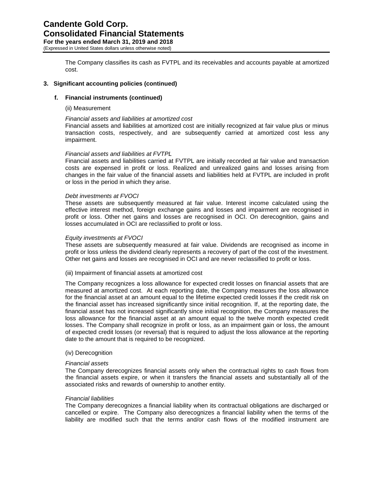## **Candente Gold Corp. Consolidated Financial Statements For the years ended March 31, 2019 and 2018**

(Expressed in United States dollars unless otherwise noted)

The Company classifies its cash as FVTPL and its receivables and accounts payable at amortized cost.

#### **3. Significant accounting policies (continued)**

#### **f. Financial instruments (continued)**

#### (ii) Measurement

#### *Financial assets and liabilities at amortized cost*

Financial assets and liabilities at amortized cost are initially recognized at fair value plus or minus transaction costs, respectively, and are subsequently carried at amortized cost less any impairment.

#### *Financial assets and liabilities at FVTPL*

Financial assets and liabilities carried at FVTPL are initially recorded at fair value and transaction costs are expensed in profit or loss. Realized and unrealized gains and losses arising from changes in the fair value of the financial assets and liabilities held at FVTPL are included in profit or loss in the period in which they arise.

#### *Debt investments at FVOCI*

These assets are subsequently measured at fair value. Interest income calculated using the effective interest method, foreign exchange gains and losses and impairment are recognised in profit or loss. Other net gains and losses are recognised in OCI. On derecognition, gains and losses accumulated in OCI are reclassified to profit or loss.

#### *Equity investments at FVOCI*

These assets are subsequently measured at fair value. Dividends are recognised as income in profit or loss unless the dividend clearly represents a recovery of part of the cost of the investment. Other net gains and losses are recognised in OCI and are never reclassified to profit or loss.

#### (iii) Impairment of financial assets at amortized cost

The Company recognizes a loss allowance for expected credit losses on financial assets that are measured at amortized cost. At each reporting date, the Company measures the loss allowance for the financial asset at an amount equal to the lifetime expected credit losses if the credit risk on the financial asset has increased significantly since initial recognition. If, at the reporting date, the financial asset has not increased significantly since initial recognition, the Company measures the loss allowance for the financial asset at an amount equal to the twelve month expected credit losses. The Company shall recognize in profit or loss, as an impairment gain or loss, the amount of expected credit losses (or reversal) that is required to adjust the loss allowance at the reporting date to the amount that is required to be recognized.

#### (iv) Derecognition

#### *Financial assets*

The Company derecognizes financial assets only when the contractual rights to cash flows from the financial assets expire, or when it transfers the financial assets and substantially all of the associated risks and rewards of ownership to another entity.

#### *Financial liabilities*

The Company derecognizes a financial liability when its contractual obligations are discharged or cancelled or expire. The Company also derecognizes a financial liability when the terms of the liability are modified such that the terms and/or cash flows of the modified instrument are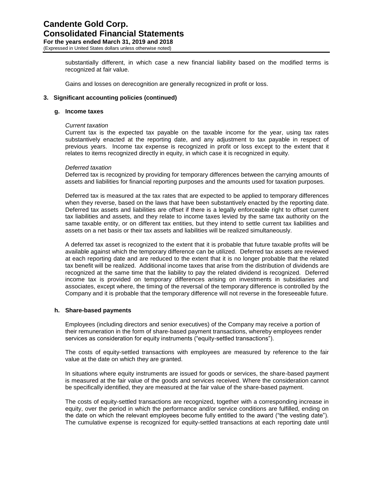## **Candente Gold Corp. Consolidated Financial Statements For the years ended March 31, 2019 and 2018**

(Expressed in United States dollars unless otherwise noted)

substantially different, in which case a new financial liability based on the modified terms is recognized at fair value.

Gains and losses on derecognition are generally recognized in profit or loss.

#### **3. Significant accounting policies (continued)**

#### **g. Income taxes**

#### *Current taxation*

Current tax is the expected tax payable on the taxable income for the year, using tax rates substantively enacted at the reporting date, and any adjustment to tax payable in respect of previous years. Income tax expense is recognized in profit or loss except to the extent that it relates to items recognized directly in equity, in which case it is recognized in equity.

#### *Deferred taxation*

Deferred tax is recognized by providing for temporary differences between the carrying amounts of assets and liabilities for financial reporting purposes and the amounts used for taxation purposes.

Deferred tax is measured at the tax rates that are expected to be applied to temporary differences when they reverse, based on the laws that have been substantively enacted by the reporting date. Deferred tax assets and liabilities are offset if there is a legally enforceable right to offset current tax liabilities and assets, and they relate to income taxes levied by the same tax authority on the same taxable entity, or on different tax entities, but they intend to settle current tax liabilities and assets on a net basis or their tax assets and liabilities will be realized simultaneously.

A deferred tax asset is recognized to the extent that it is probable that future taxable profits will be available against which the temporary difference can be utilized. Deferred tax assets are reviewed at each reporting date and are reduced to the extent that it is no longer probable that the related tax benefit will be realized. Additional income taxes that arise from the distribution of dividends are recognized at the same time that the liability to pay the related dividend is recognized. Deferred income tax is provided on temporary differences arising on investments in subsidiaries and associates, except where, the timing of the reversal of the temporary difference is controlled by the Company and it is probable that the temporary difference will not reverse in the foreseeable future.

#### **h. Share-based payments**

Employees (including directors and senior executives) of the Company may receive a portion of their remuneration in the form of share-based payment transactions, whereby employees render services as consideration for equity instruments ("equity-settled transactions").

The costs of equity-settled transactions with employees are measured by reference to the fair value at the date on which they are granted.

In situations where equity instruments are issued for goods or services, the share-based payment is measured at the fair value of the goods and services received. Where the consideration cannot be specifically identified, they are measured at the fair value of the share-based payment.

The costs of equity-settled transactions are recognized, together with a corresponding increase in equity, over the period in which the performance and/or service conditions are fulfilled, ending on the date on which the relevant employees become fully entitled to the award ("the vesting date"). The cumulative expense is recognized for equity-settled transactions at each reporting date until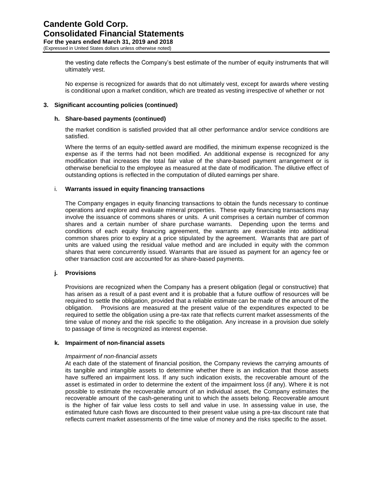the vesting date reflects the Company's best estimate of the number of equity instruments that will ultimately vest.

No expense is recognized for awards that do not ultimately vest, except for awards where vesting is conditional upon a market condition, which are treated as vesting irrespective of whether or not

#### **3. Significant accounting policies (continued)**

#### **h. Share-based payments (continued)**

the market condition is satisfied provided that all other performance and/or service conditions are satisfied.

Where the terms of an equity-settled award are modified, the minimum expense recognized is the expense as if the terms had not been modified. An additional expense is recognized for any modification that increases the total fair value of the share-based payment arrangement or is otherwise beneficial to the employee as measured at the date of modification. The dilutive effect of outstanding options is reflected in the computation of diluted earnings per share.

#### i. **Warrants issued in equity financing transactions**

The Company engages in equity financing transactions to obtain the funds necessary to continue operations and explore and evaluate mineral properties. These equity financing transactions may involve the issuance of commons shares or units. A unit comprises a certain number of common shares and a certain number of share purchase warrants. Depending upon the terms and conditions of each equity financing agreement, the warrants are exercisable into additional common shares prior to expiry at a price stipulated by the agreement. Warrants that are part of units are valued using the residual value method and are included in equity with the common shares that were concurrently issued. Warrants that are issued as payment for an agency fee or other transaction cost are accounted for as share-based payments.

#### **j. Provisions**

Provisions are recognized when the Company has a present obligation (legal or constructive) that has arisen as a result of a past event and it is probable that a future outflow of resources will be required to settle the obligation, provided that a reliable estimate can be made of the amount of the obligation. Provisions are measured at the present value of the expenditures expected to be required to settle the obligation using a pre-tax rate that reflects current market assessments of the time value of money and the risk specific to the obligation. Any increase in a provision due solely to passage of time is recognized as interest expense.

#### **k. Impairment of non-financial assets**

#### *Impairment of non-financial assets*

At each date of the statement of financial position, the Company reviews the carrying amounts of its tangible and intangible assets to determine whether there is an indication that those assets have suffered an impairment loss. If any such indication exists, the recoverable amount of the asset is estimated in order to determine the extent of the impairment loss (if any). Where it is not possible to estimate the recoverable amount of an individual asset, the Company estimates the recoverable amount of the cash-generating unit to which the assets belong. Recoverable amount is the higher of fair value less costs to sell and value in use. In assessing value in use, the estimated future cash flows are discounted to their present value using a pre-tax discount rate that reflects current market assessments of the time value of money and the risks specific to the asset.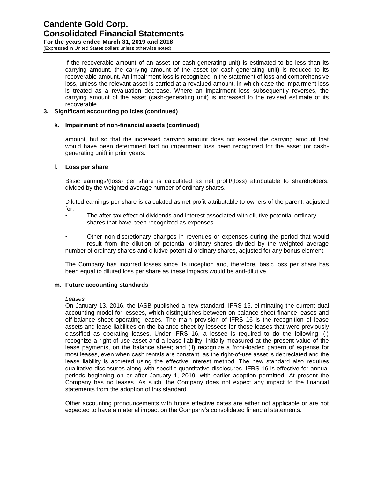If the recoverable amount of an asset (or cash-generating unit) is estimated to be less than its carrying amount, the carrying amount of the asset (or cash-generating unit) is reduced to its recoverable amount. An impairment loss is recognized in the statement of loss and comprehensive loss, unless the relevant asset is carried at a revalued amount, in which case the impairment loss is treated as a revaluation decrease. Where an impairment loss subsequently reverses, the carrying amount of the asset (cash-generating unit) is increased to the revised estimate of its recoverable

#### **3. Significant accounting policies (continued)**

#### **k. Impairment of non-financial assets (continued)**

amount, but so that the increased carrying amount does not exceed the carrying amount that would have been determined had no impairment loss been recognized for the asset (or cashgenerating unit) in prior years.

#### **l. Loss per share**

Basic earnings/(loss) per share is calculated as net profit/(loss) attributable to shareholders, divided by the weighted average number of ordinary shares.

Diluted earnings per share is calculated as net profit attributable to owners of the parent, adjusted for:

- The after-tax effect of dividends and interest associated with dilutive potential ordinary shares that have been recognized as expenses
- Other non-discretionary changes in revenues or expenses during the period that would result from the dilution of potential ordinary shares divided by the weighted average number of ordinary shares and dilutive potential ordinary shares, adjusted for any bonus element.

The Company has incurred losses since its inception and, therefore, basic loss per share has been equal to diluted loss per share as these impacts would be anti-dilutive.

#### **m. Future accounting standards**

#### *Leases*

On January 13, 2016, the IASB published a new standard, IFRS 16, eliminating the current dual accounting model for lessees, which distinguishes between on-balance sheet finance leases and off-balance sheet operating leases. The main provision of IFRS 16 is the recognition of lease assets and lease liabilities on the balance sheet by lessees for those leases that were previously classified as operating leases. Under IFRS 16, a lessee is required to do the following: (i) recognize a right-of-use asset and a lease liability, initially measured at the present value of the lease payments, on the balance sheet; and (ii) recognize a front-loaded pattern of expense for most leases, even when cash rentals are constant, as the right-of-use asset is depreciated and the lease liability is accreted using the effective interest method. The new standard also requires qualitative disclosures along with specific quantitative disclosures. IFRS 16 is effective for annual periods beginning on or after January 1, 2019, with earlier adoption permitted. At present the Company has no leases. As such, the Company does not expect any impact to the financial statements from the adoption of this standard.

Other accounting pronouncements with future effective dates are either not applicable or are not expected to have a material impact on the Company's consolidated financial statements.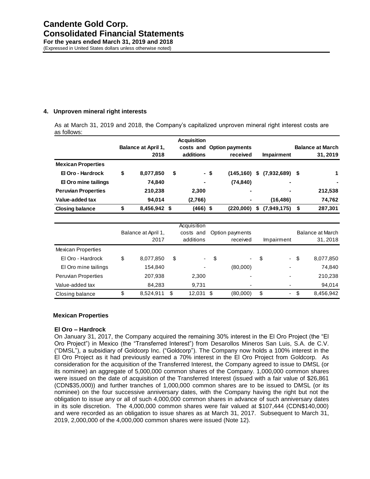#### **4. Unproven mineral right interests**

 As at March 31, 2019 and 2018, the Company's capitalized unproven mineral right interest costs are as follows:

|                            |                                    | <b>Acquisition</b>     |      |                                    |    |                   |    |                                     |
|----------------------------|------------------------------------|------------------------|------|------------------------------------|----|-------------------|----|-------------------------------------|
|                            | <b>Balance at April 1,</b><br>2018 | costs and<br>additions |      | <b>Option payments</b><br>received |    | <b>Impairment</b> |    | <b>Balance at March</b><br>31, 2019 |
| <b>Mexican Properties</b>  |                                    |                        |      |                                    |    |                   |    |                                     |
| El Oro - Hardrock          | \$<br>8,077,850                    | \$                     | - \$ | (145, 160)                         | S. | (7,932,689)       | -S |                                     |
| El Oro mine tailings       | 74,840                             |                        |      | (74, 840)                          |    |                   |    |                                     |
| <b>Peruvian Properties</b> | 210,238                            | 2,300                  |      |                                    |    |                   |    | 212,538                             |
| Value-added tax            | 94,014                             | (2,766)                |      |                                    |    | (16, 486)         |    | 74,762                              |
| <b>Closing balance</b>     | \$<br>8,456,942 \$                 | $(466)$ \$             |      | (220,000)                          | \$ | (7,949,175)       | \$ | 287,301                             |
|                            |                                    |                        |      |                                    |    |                   |    |                                     |
|                            |                                    | Acquisition            |      |                                    |    |                   |    |                                     |
|                            | Balance at April 1,                | costs and              |      | Option payments                    |    |                   |    | Balance at March                    |
|                            | 2017                               | additions              |      | received                           |    | Impairment        |    | 31, 2018                            |
| <b>Mexican Properties</b>  |                                    |                        |      |                                    |    |                   |    |                                     |
| El Oro - Hardrock          | \$<br>8,077,850                    | \$                     | \$   |                                    |    | \$<br>۰.          | \$ | 8,077,850                           |
| El Oro mine tailings       | 154,840                            |                        |      | (80,000)                           |    |                   |    | 74,840                              |
| <b>Peruvian Properties</b> | 207,938                            | 2,300                  |      |                                    |    |                   |    | 210,238                             |
| Value-added tax            | 84,283                             | 9,731                  |      |                                    |    |                   |    | 94,014                              |
| Closing balance            | \$<br>8,524,911                    | \$<br>12,031           | \$   | (80,000)                           |    | \$                | \$ | 8,456,942                           |

#### **Mexican Properties**

#### **El Oro – Hardrock**

On January 31, 2017, the Company acquired the remaining 30% interest in the El Oro Project (the "El Oro Project") in Mexico (the "Transferred Interest") from Desarollos Mineros San Luis, S.A. de C.V. ("DMSL"), a subsidiary of Goldcorp Inc. ("Goldcorp"). The Company now holds a 100% interest in the El Oro Project as it had previously earned a 70% interest in the El Oro Project from Goldcorp. As consideration for the acquisition of the Transferred Interest, the Company agreed to issue to DMSL (or its nominee) an aggregate of 5,000,000 common shares of the Company. 1,000,000 common shares were issued on the date of acquisition of the Transferred Interest (issued with a fair value of \$26,861 (CDN\$35,000)) and further tranches of 1,000,000 common shares are to be issued to DMSL (or its nominee) on the four successive anniversary dates, with the Company having the right but not the obligation to issue any or all of such 4,000,000 common shares in advance of such anniversary dates in its sole discretion. The 4,000,000 common shares were fair valued at \$107,444 (CDN\$140,000) and were recorded as an obligation to issue shares as at March 31, 2017. Subsequent to March 31, 2019, 2,000,000 of the 4,000,000 common shares were issued (Note 12).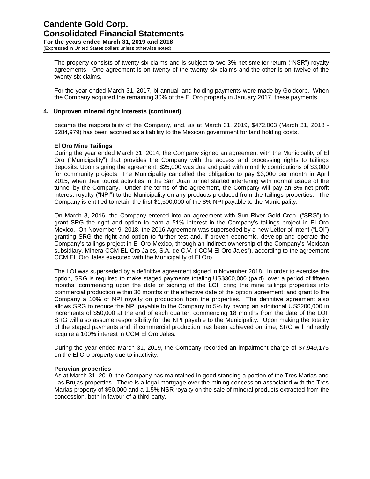The property consists of twenty-six claims and is subject to two 3% net smelter return ("NSR") royalty agreements. One agreement is on twenty of the twenty-six claims and the other is on twelve of the twenty-six claims.

For the year ended March 31, 2017, bi-annual land holding payments were made by Goldcorp. When the Company acquired the remaining 30% of the El Oro property in January 2017, these payments

#### **4. Unproven mineral right interests (continued)**

became the responsibility of the Company, and, as at March 31, 2019, \$472,003 (March 31, 2018 - \$284,979) has been accrued as a liability to the Mexican government for land holding costs.

#### **El Oro Mine Tailings**

During the year ended March 31, 2014, the Company signed an agreement with the Municipality of El Oro ("Municipality") that provides the Company with the access and processing rights to tailings deposits. Upon signing the agreement, \$25,000 was due and paid with monthly contributions of \$3,000 for community projects. The Municipality cancelled the obligation to pay \$3,000 per month in April 2015, when their tourist activities in the San Juan tunnel started interfering with normal usage of the tunnel by the Company. Under the terms of the agreement, the Company will pay an 8% net profit interest royalty ("NPI") to the Municipality on any products produced from the tailings properties. The Company is entitled to retain the first \$1,500,000 of the 8% NPI payable to the Municipality.

On March 8, 2016, the Company entered into an agreement with Sun River Gold Crop. ("SRG") to grant SRG the right and option to earn a 51% interest in the Company's tailings project in El Oro Mexico. On November 9, 2018, the 2016 Agreement was superseded by a new Letter of Intent ("LOI") granting SRG the right and option to further test and, if proven economic, develop and operate the Company's tailings project in El Oro Mexico, through an indirect ownership of the Company's Mexican subsidiary, Minera CCM EL Oro Jales, S.A. de C.V. ("CCM El Oro Jales"), according to the agreement CCM EL Oro Jales executed with the Municipality of El Oro.

The LOI was superseded by a definitive agreement signed in November 2018. In order to exercise the option, SRG is required to make staged payments totaling US\$300,000 (paid), over a period of fifteen months, commencing upon the date of signing of the LOI; bring the mine tailings properties into commercial production within 36 months of the effective date of the option agreement; and grant to the Company a 10% of NPI royalty on production from the properties. The definitive agreement also allows SRG to reduce the NPI payable to the Company to 5% by paying an additional US\$200,000 in increments of \$50,000 at the end of each quarter, commencing 18 months from the date of the LOI. SRG will also assume responsibility for the NPI payable to the Municipality. Upon making the totality of the staged payments and, if commercial production has been achieved on time, SRG will indirectly acquire a 100% interest in CCM El Oro Jales.

During the year ended March 31, 2019, the Company recorded an impairment charge of \$7,949,175 on the El Oro property due to inactivity.

#### **Peruvian properties**

As at March 31, 2019, the Company has maintained in good standing a portion of the Tres Marias and Las Brujas properties. There is a legal mortgage over the mining concession associated with the Tres Marias property of \$50,000 and a 1.5% NSR royalty on the sale of mineral products extracted from the concession, both in favour of a third party.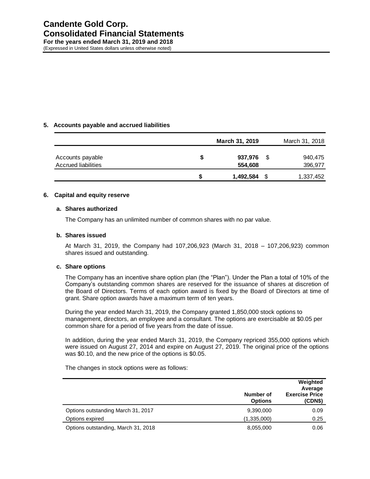#### **5. Accounts payable and accrued liabilities**

|                                                |    | March 31, 2019     |      | March 31, 2018     |
|------------------------------------------------|----|--------------------|------|--------------------|
| Accounts payable<br><b>Accrued liabilities</b> | \$ | 937,976<br>554,608 | - \$ | 940,475<br>396,977 |
|                                                | S  | 1,492,584          | - \$ | 1,337,452          |

#### **6. Capital and equity reserve**

#### **a. Shares authorized**

The Company has an unlimited number of common shares with no par value.

#### **b. Shares issued**

At March 31, 2019, the Company had 107,206,923 (March 31, 2018 – 107,206,923) common shares issued and outstanding.

#### **c. Share options**

The Company has an incentive share option plan (the "Plan"). Under the Plan a total of 10% of the Company's outstanding common shares are reserved for the issuance of shares at discretion of the Board of Directors. Terms of each option award is fixed by the Board of Directors at time of grant. Share option awards have a maximum term of ten years.

During the year ended March 31, 2019, the Company granted 1,850,000 stock options to management, directors, an employee and a consultant. The options are exercisable at \$0.05 per common share for a period of five years from the date of issue.

In addition, during the year ended March 31, 2019, the Company repriced 355,000 options which were issued on August 27, 2014 and expire on August 27, 2019. The original price of the options was \$0.10, and the new price of the options is \$0.05.

The changes in stock options were as follows:

|                                     | Number of<br><b>Options</b> | Weighted<br>Average<br><b>Exercise Price</b><br>(CDN\$) |
|-------------------------------------|-----------------------------|---------------------------------------------------------|
| Options outstanding March 31, 2017  | 9,390,000                   | 0.09                                                    |
| Options expired                     | (1,335,000)                 | 0.25                                                    |
| Options outstanding, March 31, 2018 | 8,055,000                   | 0.06                                                    |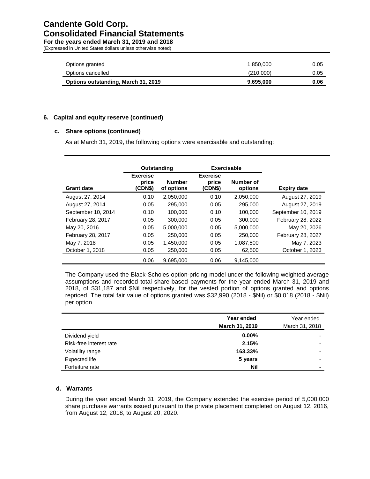## **Candente Gold Corp. Consolidated Financial Statements For the years ended March 31, 2019 and 2018**

(Expressed in United States dollars unless otherwise noted)

| Options granted                            | 1.850.000 | 0.05 |
|--------------------------------------------|-----------|------|
| Options cancelled                          | (210.000) | 0.05 |
| <b>Options outstanding, March 31, 2019</b> | 9.695.000 | 0.06 |

#### **6. Capital and equity reserve (continued)**

#### **c. Share options (continued)**

As at March 31, 2019, the following options were exercisable and outstanding:

|                    | Outstanding                         |                             | <b>Exercisable</b>                  |                      |                    |
|--------------------|-------------------------------------|-----------------------------|-------------------------------------|----------------------|--------------------|
| <b>Grant date</b>  | <b>Exercise</b><br>price<br>(CDN\$) | <b>Number</b><br>of options | <b>Exercise</b><br>price<br>(CDN\$) | Number of<br>options | <b>Expiry date</b> |
| August 27, 2014    | 0.10                                | 2,050,000                   | 0.10                                | 2,050,000            | August 27, 2019    |
| August 27, 2014    | 0.05                                | 295,000                     | 0.05                                | 295,000              | August 27, 2019    |
| September 10, 2014 | 0.10                                | 100,000                     | 0.10                                | 100,000              | September 10, 2019 |
| February 28, 2017  | 0.05                                | 300,000                     | 0.05                                | 300,000              | February 28, 2022  |
| May 20, 2016       | 0.05                                | 5.000.000                   | 0.05                                | 5,000,000            | May 20, 2026       |
| February 28, 2017  | 0.05                                | 250,000                     | 0.05                                | 250,000              | February 28, 2027  |
| May 7, 2018        | 0.05                                | 1,450,000                   | 0.05                                | 1,087,500            | May 7, 2023        |
| October 1, 2018    | 0.05                                | 250,000                     | 0.05                                | 62,500               | October 1, 2023    |
|                    | 0.06                                | 9.695.000                   | 0.06                                | 9.145.000            |                    |

The Company used the Black-Scholes option-pricing model under the following weighted average assumptions and recorded total share-based payments for the year ended March 31, 2019 and 2018, of \$31,187 and \$Nil respectively, for the vested portion of options granted and options repriced. The total fair value of options granted was \$32,990 (2018 - \$Nil) or \$0.018 (2018 - \$Nil) per option.

|                         | Year ended     | Year ended               |
|-------------------------|----------------|--------------------------|
|                         | March 31, 2019 | March 31, 2018           |
| Dividend yield          | $0.00\%$       | $\overline{\phantom{0}}$ |
| Risk-free interest rate | 2.15%          | -                        |
| Volatility range        | 163.33%        | $\overline{\phantom{0}}$ |
| Expected life           | 5 years        | $\overline{\phantom{0}}$ |
| Forfeiture rate         | <b>Nil</b>     | $\overline{\phantom{0}}$ |

#### **d. Warrants**

During the year ended March 31, 2019, the Company extended the exercise period of 5,000,000 share purchase warrants issued pursuant to the private placement completed on August 12, 2016, from August 12, 2018, to August 20, 2020.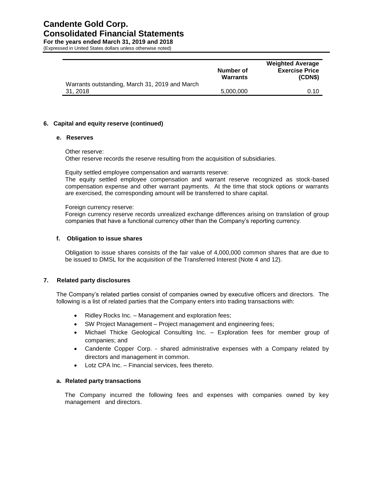|                                                | Number of<br>Warrants | <b>Weighted Average</b><br><b>Exercise Price</b><br>(CDN\$) |
|------------------------------------------------|-----------------------|-------------------------------------------------------------|
| Warrants outstanding, March 31, 2019 and March |                       |                                                             |
| 31, 2018                                       | 5,000,000             | 0.10                                                        |
|                                                |                       |                                                             |

#### **6. Capital and equity reserve (continued)**

#### **e. Reserves**

Other reserve: Other reserve records the reserve resulting from the acquisition of subsidiaries.

Equity settled employee compensation and warrants reserve:

The equity settled employee compensation and warrant reserve recognized as stock-based compensation expense and other warrant payments. At the time that stock options or warrants are exercised, the corresponding amount will be transferred to share capital.

Foreign currency reserve:

Foreign currency reserve records unrealized exchange differences arising on translation of group companies that have a functional currency other than the Company's reporting currency.

#### **f. Obligation to issue shares**

Obligation to issue shares consists of the fair value of 4,000,000 common shares that are due to be issued to DMSL for the acquisition of the Transferred Interest (Note 4 and 12).

#### **7. Related party disclosures**

The Company's related parties consist of companies owned by executive officers and directors. The following is a list of related parties that the Company enters into trading transactions with:

- Ridley Rocks Inc. Management and exploration fees;
- SW Project Management Project management and engineering fees;
- Michael Thicke Geological Consulting Inc. Exploration fees for member group of companies; and
- Candente Copper Corp. shared administrative expenses with a Company related by directors and management in common.
- Lotz CPA Inc. Financial services, fees thereto.

#### **a. Related party transactions**

The Company incurred the following fees and expenses with companies owned by key management and directors.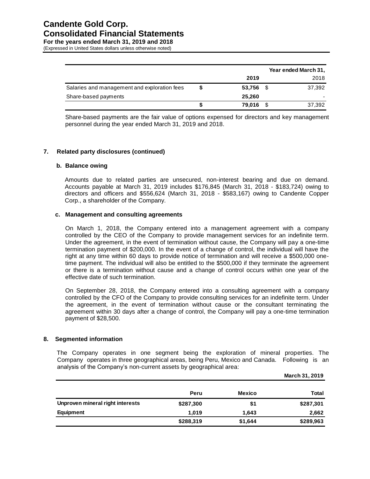# **Candente Gold Corp. Consolidated Financial Statements**

**For the years ended March 31, 2019 and 2018** (Expressed in United States dollars unless otherwise noted)

|                                              | Year ended March 31, |  |        |
|----------------------------------------------|----------------------|--|--------|
|                                              | 2019                 |  | 2018   |
| Salaries and management and exploration fees | 53,756 \$            |  | 37,392 |
| Share-based payments                         | 25.260               |  |        |
|                                              | 79,016               |  | 37,392 |

Share-based payments are the fair value of options expensed for directors and key management personnel during the year ended March 31, 2019 and 2018.

#### **7. Related party disclosures (continued)**

#### **b. Balance owing**

Amounts due to related parties are unsecured, non-interest bearing and due on demand. Accounts payable at March 31, 2019 includes \$176,845 (March 31, 2018 - \$183,724) owing to directors and officers and \$556,624 (March 31, 2018 - \$583,167) owing to Candente Copper Corp., a shareholder of the Company.

#### **c. Management and consulting agreements**

On March 1, 2018, the Company entered into a management agreement with a company controlled by the CEO of the Company to provide management services for an indefinite term. Under the agreement, in the event of termination without cause, the Company will pay a one-time termination payment of \$200,000. In the event of a change of control, the individual will have the right at any time within 60 days to provide notice of termination and will receive a \$500,000 onetime payment. The individual will also be entitled to the \$500,000 if they terminate the agreement or there is a termination without cause and a change of control occurs within one year of the effective date of such termination.

On September 28, 2018, the Company entered into a consulting agreement with a company controlled by the CFO of the Company to provide consulting services for an indefinite term. Under the agreement, in the event of termination without cause or the consultant terminating the agreement within 30 days after a change of control, the Company will pay a one-time termination payment of \$28,500.

#### **8. Segmented information**

 The Company operates in one segment being the exploration of mineral properties. The Company operates in three geographical areas, being Peru, Mexico and Canada. Following is an analysis of the Company's non-current assets by geographical area:

|                                  |           |               | <b>March 31, 2019</b> |
|----------------------------------|-----------|---------------|-----------------------|
|                                  | Peru      | <b>Mexico</b> | Total                 |
| Unproven mineral right interests | \$287,300 | \$1           | \$287,301             |
| Equipment                        | 1.019     | 1,643         | 2,662                 |
|                                  | \$288,319 | \$1,644       | \$289,963             |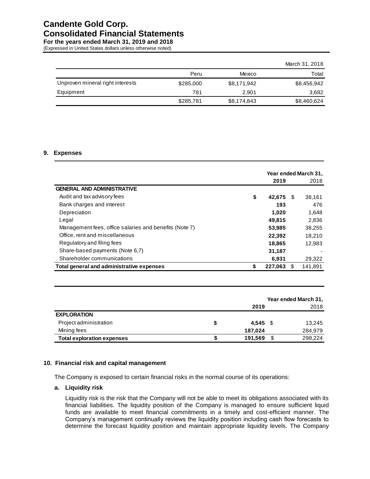# **Candente Gold Corp. Consolidated Financial Statements**

**For the years ended March 31, 2019 and 2018** (Expressed in United States dollars unless otherwise noted)

|                                  |           |             | March 31, 2018 |
|----------------------------------|-----------|-------------|----------------|
|                                  | Peru      | Mexico      | Total          |
| Unproven mineral right interests | \$285,000 | \$8,171,942 | \$8,456,942    |
| Equipment                        | 781       | 2,901       | 3,682          |
|                                  | \$285,781 | \$8,174,843 | \$8,460,624    |

#### **9. Expenses**

|                                                        | Year ended March 31, |      |         |  |
|--------------------------------------------------------|----------------------|------|---------|--|
|                                                        | 2019                 |      | 2018    |  |
| <b>GENERAL AND ADMINISTRATIVE</b>                      |                      |      |         |  |
| Audit and tax advisory fees                            | \$<br>42,675         | - \$ | 38,161  |  |
| Bank charges and interest                              | 193                  |      | 476     |  |
| Depreciation                                           | 1.020                |      | 1,648   |  |
| Legal                                                  | 49.815               |      | 2,836   |  |
| Management fees, office salaries and benefits (Note 7) | 53,985               |      | 38,255  |  |
| Office, rent and miscellaneous                         | 22,392               |      | 18.210  |  |
| Regulatory and filing fees                             | 18,865               |      | 12.983  |  |
| Share-based payments (Note 6.7)                        | 31,187               |      |         |  |
| Shareholder communications                             | 6,931                |      | 29,322  |  |
| Total general and administrative expenses              | 227,063              | £.   | 141,891 |  |

|                                   |   | Year ended March 31, |    |         |
|-----------------------------------|---|----------------------|----|---------|
|                                   |   | 2019                 |    | 2018    |
| <b>EXPLORATION</b>                |   |                      |    |         |
| Project administration            | S | $4.545$ \$           |    | 13,245  |
| Mining fees                       |   | 187,024              |    | 284,979 |
| <b>Total exploration expenses</b> | S | 191,569              | -S | 298.224 |

#### **10. Financial risk and capital management**

The Company is exposed to certain financial risks in the normal course of its operations:

#### **a. Liquidity risk**

Liquidity risk is the risk that the Company will not be able to meet its obligations associated with its financial liabilities. The liquidity position of the Company is managed to ensure sufficient liquid funds are available to meet financial commitments in a timely and cost-efficient manner. The Company's management continually reviews the liquidity position including cash flow forecasts to determine the forecast liquidity position and maintain appropriate liquidity levels. The Company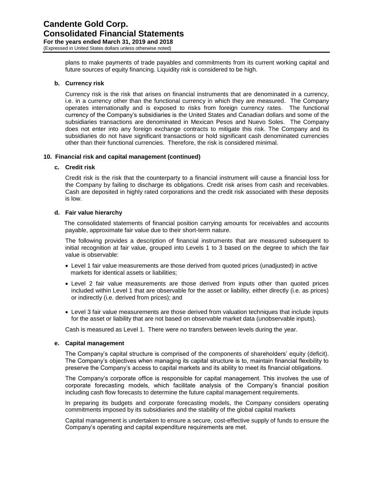plans to make payments of trade payables and commitments from its current working capital and future sources of equity financing. Liquidity risk is considered to be high.

#### **b. Currency risk**

Currency risk is the risk that arises on financial instruments that are denominated in a currency, i.e. in a currency other than the functional currency in which they are measured. The Company operates internationally and is exposed to risks from foreign currency rates. The functional currency of the Company's subsidiaries is the United States and Canadian dollars and some of the subsidiaries transactions are denominated in Mexican Pesos and Nuevo Soles. The Company does not enter into any foreign exchange contracts to mitigate this risk. The Company and its subsidiaries do not have significant transactions or hold significant cash denominated currencies other than their functional currencies. Therefore, the risk is considered minimal.

#### **10. Financial risk and capital management (continued)**

#### **c. Credit risk**

Credit risk is the risk that the counterparty to a financial instrument will cause a financial loss for the Company by failing to discharge its obligations. Credit risk arises from cash and receivables. Cash are deposited in highly rated corporations and the credit risk associated with these deposits is low.

#### **d. Fair value hierarchy**

The consolidated statements of financial position carrying amounts for receivables and accounts payable, approximate fair value due to their short-term nature.

The following provides a description of financial instruments that are measured subsequent to initial recognition at fair value, grouped into Levels 1 to 3 based on the degree to which the fair value is observable:

- Level 1 fair value measurements are those derived from quoted prices (unadjusted) in active markets for identical assets or liabilities;
- Level 2 fair value measurements are those derived from inputs other than quoted prices included within Level 1 that are observable for the asset or liability, either directly (i.e. as prices) or indirectly (i.e. derived from prices); and
- Level 3 fair value measurements are those derived from valuation techniques that include inputs for the asset or liability that are not based on observable market data (unobservable inputs).

Cash is measured as Level 1. There were no transfers between levels during the year.

#### **e. Capital management**

The Company's capital structure is comprised of the components of shareholders' equity (deficit). The Company's objectives when managing its capital structure is to, maintain financial flexibility to preserve the Company's access to capital markets and its ability to meet its financial obligations.

The Company's corporate office is responsible for capital management. This involves the use of corporate forecasting models, which facilitate analysis of the Company's financial position including cash flow forecasts to determine the future capital management requirements.

In preparing its budgets and corporate forecasting models, the Company considers operating commitments imposed by its subsidiaries and the stability of the global capital markets

Capital management is undertaken to ensure a secure, cost-effective supply of funds to ensure the Company's operating and capital expenditure requirements are met.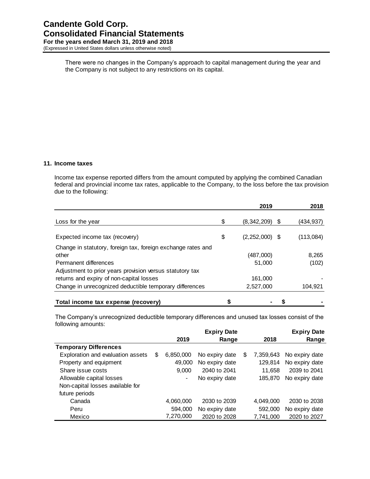# **Candente Gold Corp. Consolidated Financial Statements For the years ended March 31, 2019 and 2018**

(Expressed in United States dollars unless otherwise noted)

 There were no changes in the Company's approach to capital management during the year and the Company is not subject to any restrictions on its capital.

#### **11. Income taxes**

Income tax expense reported differs from the amount computed by applying the combined Canadian federal and provincial income tax rates, applicable to the Company, to the loss before the tax provision due to the following:

|                                                              | 2019                   | 2018            |
|--------------------------------------------------------------|------------------------|-----------------|
| Loss for the year                                            | \$<br>(8,342,209)      | \$<br>(434,937) |
| Expected income tax (recovery)                               | \$<br>$(2,252,000)$ \$ | (113,084)       |
| Change in statutory, foreign tax, foreign exchange rates and |                        |                 |
| other                                                        | (487,000)              | 8,265           |
| Permanent differences                                        | 51,000                 | (102)           |
| Adjustment to prior years provision versus statutory tax     |                        |                 |
| returns and expiry of non-capital losses                     | 161.000                |                 |
| Change in unrecognized deductible temporary differences      | 2,527,000              | 104,921         |
| Total income tax expense (recovery)                          | \$                     |                 |

 The Company's unrecognized deductible temporary differences and unused tax losses consist of the following amounts:

|                                   |                 | <b>Expiry Date</b> |                 | <b>Expiry Date</b> |
|-----------------------------------|-----------------|--------------------|-----------------|--------------------|
|                                   | 2019            | Range              | 2018            | Range              |
| <b>Temporary Differences</b>      |                 |                    |                 |                    |
| Exploration and evaluation assets | \$<br>6,850,000 | No expiry date     | \$<br>7,359,643 | No expiry date     |
| Property and equipment            | 49,000          | No expiry date     | 129,814         | No expiry date     |
| Share issue costs                 | 9.000           | 2040 to 2041       | 11.658          | 2039 to 2041       |
| Allowable capital losses          | $\blacksquare$  | No expiry date     | 185.870         | No expiry date     |
| Non-capital losses available for  |                 |                    |                 |                    |
| future periods                    |                 |                    |                 |                    |
| Canada                            | 4,060,000       | 2030 to 2039       | 4,049,000       | 2030 to 2038       |
| Peru                              | 594,000         | No expiry date     | 592,000         | No expiry date     |
| Mexico                            | 7,270,000       | 2020 to 2028       | 7,741,000       | 2020 to 2027       |